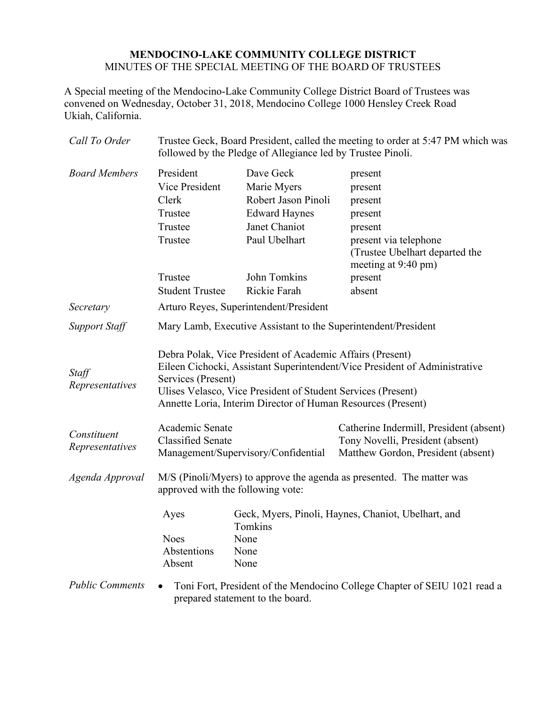## **MENDOCINO-LAKE COMMUNITY COLLEGE DISTRICT** MINUTES OF THE SPECIAL MEETING OF THE BOARD OF TRUSTEES

A Special meeting of the Mendocino-Lake Community College District Board of Trustees was convened on Wednesday, October 31, 2018, Mendocino College 1000 Hensley Creek Road Ukiah, California.

| Call To Order                  | Trustee Geck, Board President, called the meeting to order at 5:47 PM which was<br>followed by the Pledge of Allegiance led by Trustee Pinoli.                                                                                                                                                |                                                                                                           |                                                                                                                                       |
|--------------------------------|-----------------------------------------------------------------------------------------------------------------------------------------------------------------------------------------------------------------------------------------------------------------------------------------------|-----------------------------------------------------------------------------------------------------------|---------------------------------------------------------------------------------------------------------------------------------------|
| <b>Board Members</b>           | President<br>Vice President<br>Clerk<br>Trustee<br>Trustee<br>Trustee                                                                                                                                                                                                                         | Dave Geck<br>Marie Myers<br>Robert Jason Pinoli<br><b>Edward Haynes</b><br>Janet Chaniot<br>Paul Ubelhart | present<br>present<br>present<br>present<br>present<br>present via telephone<br>(Trustee Ubelhart departed the<br>meeting at 9:40 pm) |
|                                | Trustee                                                                                                                                                                                                                                                                                       | John Tomkins                                                                                              | present                                                                                                                               |
|                                | <b>Student Trustee</b>                                                                                                                                                                                                                                                                        | Rickie Farah                                                                                              | absent                                                                                                                                |
| Secretary                      | Arturo Reyes, Superintendent/President                                                                                                                                                                                                                                                        |                                                                                                           |                                                                                                                                       |
| <b>Support Staff</b>           | Mary Lamb, Executive Assistant to the Superintendent/President                                                                                                                                                                                                                                |                                                                                                           |                                                                                                                                       |
| Staff<br>Representatives       | Debra Polak, Vice President of Academic Affairs (Present)<br>Eileen Cichocki, Assistant Superintendent/Vice President of Administrative<br>Services (Present)<br>Ulises Velasco, Vice President of Student Services (Present)<br>Annette Loria, Interim Director of Human Resources (Present) |                                                                                                           |                                                                                                                                       |
| Constituent<br>Representatives | Academic Senate<br><b>Classified Senate</b><br>Management/Supervisory/Confidential                                                                                                                                                                                                            |                                                                                                           | Catherine Indermill, President (absent)<br>Tony Novelli, President (absent)<br>Matthew Gordon, President (absent)                     |
| Agenda Approval                | M/S (Pinoli/Myers) to approve the agenda as presented. The matter was<br>approved with the following vote:                                                                                                                                                                                    |                                                                                                           |                                                                                                                                       |
|                                | Ayes<br><b>Noes</b><br>Abstentions<br>Absent                                                                                                                                                                                                                                                  | Geck, Myers, Pinoli, Haynes, Chaniot, Ubelhart, and<br>Tomkins<br>None<br>None<br>None                    |                                                                                                                                       |
| <b>Public Comments</b>         | Toni Fort, President of the Mendocino College Chapter of SEIU 1021 read a<br>prepared statement to the board.                                                                                                                                                                                 |                                                                                                           |                                                                                                                                       |